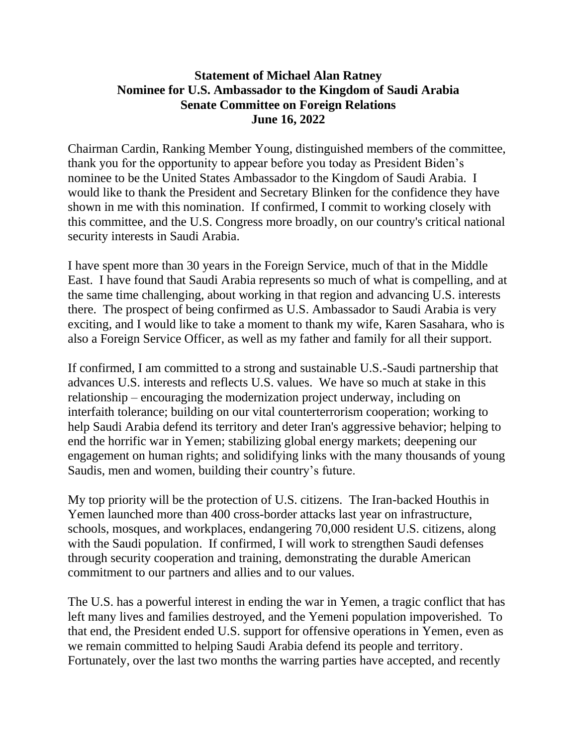## **Statement of Michael Alan Ratney Nominee for U.S. Ambassador to the Kingdom of Saudi Arabia Senate Committee on Foreign Relations June 16, 2022**

Chairman Cardin, Ranking Member Young, distinguished members of the committee, thank you for the opportunity to appear before you today as President Biden's nominee to be the United States Ambassador to the Kingdom of Saudi Arabia. I would like to thank the President and Secretary Blinken for the confidence they have shown in me with this nomination. If confirmed, I commit to working closely with this committee, and the U.S. Congress more broadly, on our country's critical national security interests in Saudi Arabia.

I have spent more than 30 years in the Foreign Service, much of that in the Middle East. I have found that Saudi Arabia represents so much of what is compelling, and at the same time challenging, about working in that region and advancing U.S. interests there. The prospect of being confirmed as U.S. Ambassador to Saudi Arabia is very exciting, and I would like to take a moment to thank my wife, Karen Sasahara, who is also a Foreign Service Officer, as well as my father and family for all their support.

If confirmed, I am committed to a strong and sustainable U.S.-Saudi partnership that advances U.S. interests and reflects U.S. values. We have so much at stake in this relationship – encouraging the modernization project underway, including on interfaith tolerance; building on our vital counterterrorism cooperation; working to help Saudi Arabia defend its territory and deter Iran's aggressive behavior; helping to end the horrific war in Yemen; stabilizing global energy markets; deepening our engagement on human rights; and solidifying links with the many thousands of young Saudis, men and women, building their country's future.

My top priority will be the protection of U.S. citizens. The Iran-backed Houthis in Yemen launched more than 400 cross-border attacks last year on infrastructure, schools, mosques, and workplaces, endangering 70,000 resident U.S. citizens, along with the Saudi population. If confirmed, I will work to strengthen Saudi defenses through security cooperation and training, demonstrating the durable American commitment to our partners and allies and to our values.

The U.S. has a powerful interest in ending the war in Yemen, a tragic conflict that has left many lives and families destroyed, and the Yemeni population impoverished. To that end, the President ended U.S. support for offensive operations in Yemen, even as we remain committed to helping Saudi Arabia defend its people and territory. Fortunately, over the last two months the warring parties have accepted, and recently